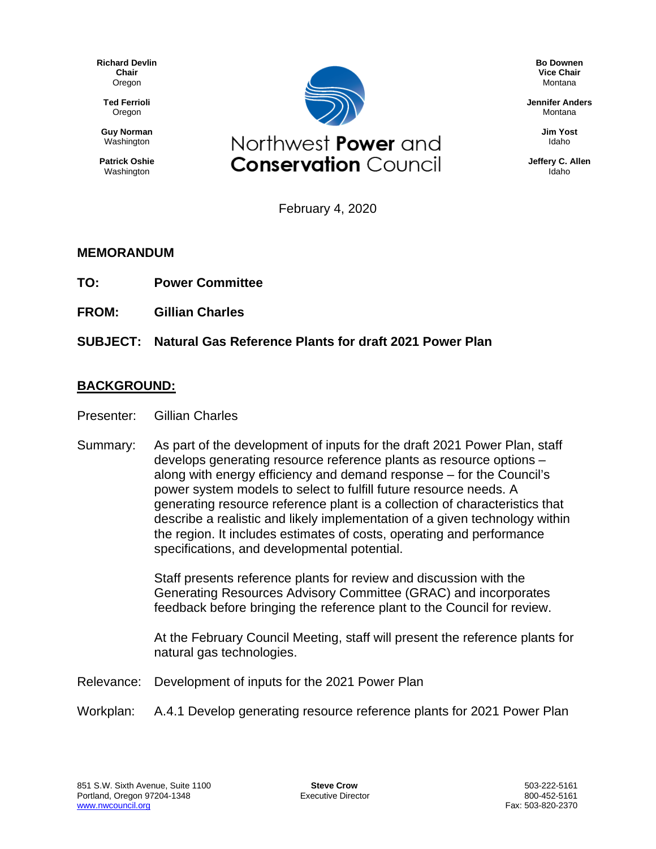**Richard Devlin Chair** Oregon

**Ted Ferrioli** Oregon

**Guy Norman** Washington

**Patrick Oshie** Washington



**Bo Downen Vice Chair** Montana

**Jennifer Anders** Montana

> **Jim Yost** Idaho

**Jeffery C. Allen** Idaho

February 4, 2020

## **MEMORANDUM**

- **TO: Power Committee**
- **FROM: Gillian Charles**

## **SUBJECT: Natural Gas Reference Plants for draft 2021 Power Plan**

## **BACKGROUND:**

- Presenter: Gillian Charles
- Summary: As part of the development of inputs for the draft 2021 Power Plan, staff develops generating resource reference plants as resource options – along with energy efficiency and demand response – for the Council's power system models to select to fulfill future resource needs. A generating resource reference plant is a collection of characteristics that describe a realistic and likely implementation of a given technology within the region. It includes estimates of costs, operating and performance specifications, and developmental potential.

Staff presents reference plants for review and discussion with the Generating Resources Advisory Committee (GRAC) and incorporates feedback before bringing the reference plant to the Council for review.

At the February Council Meeting, staff will present the reference plants for natural gas technologies.

- Relevance: Development of inputs for the 2021 Power Plan
- Workplan: A.4.1 Develop generating resource reference plants for 2021 Power Plan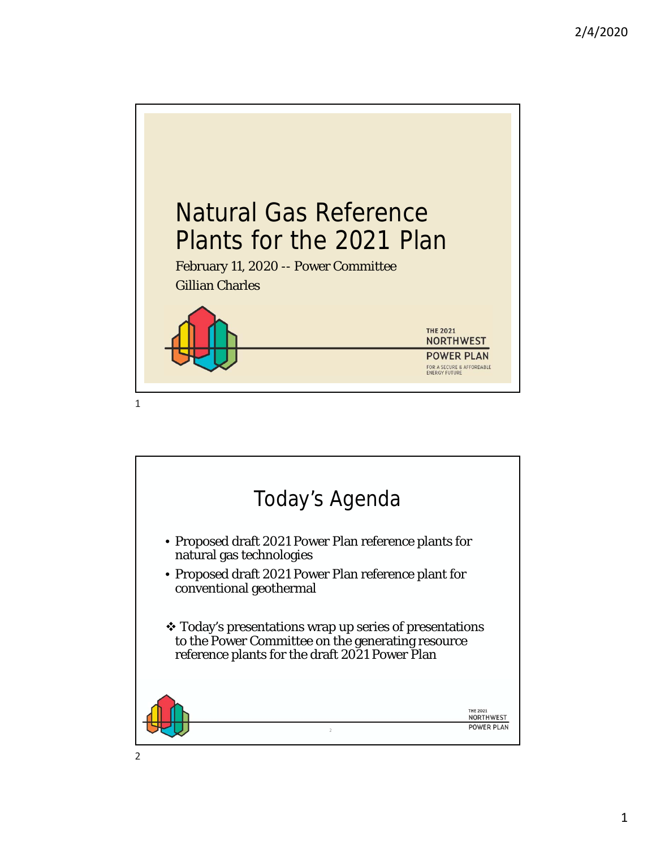

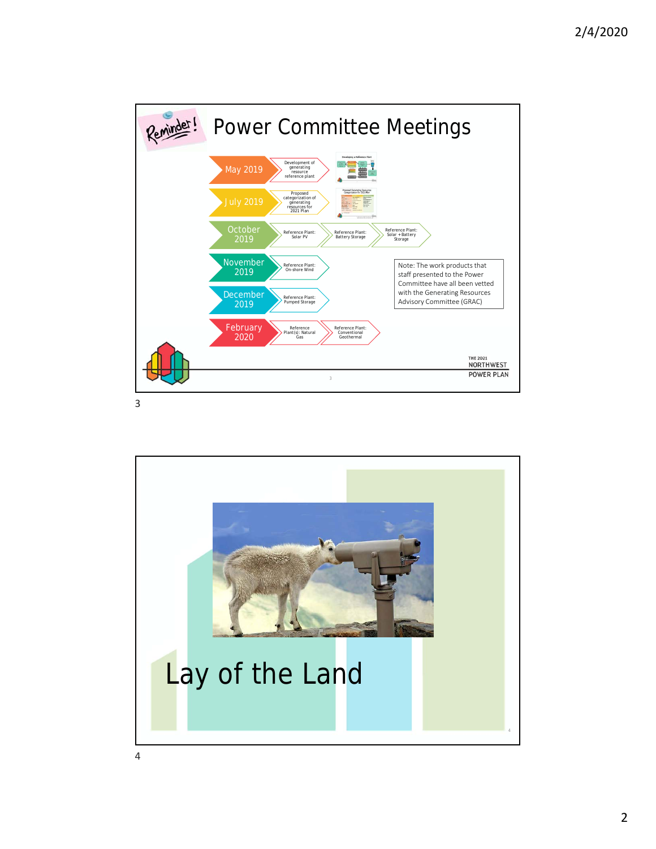

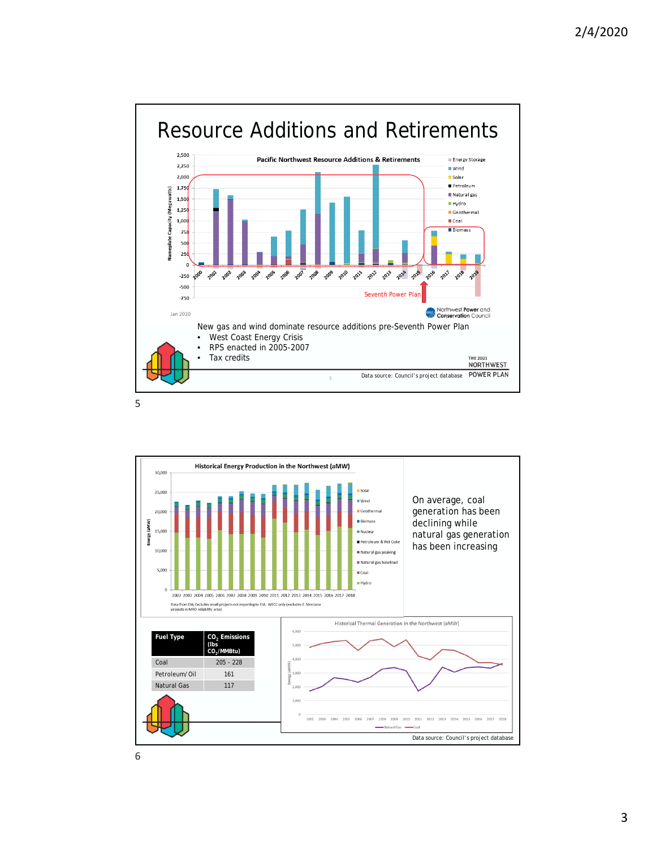

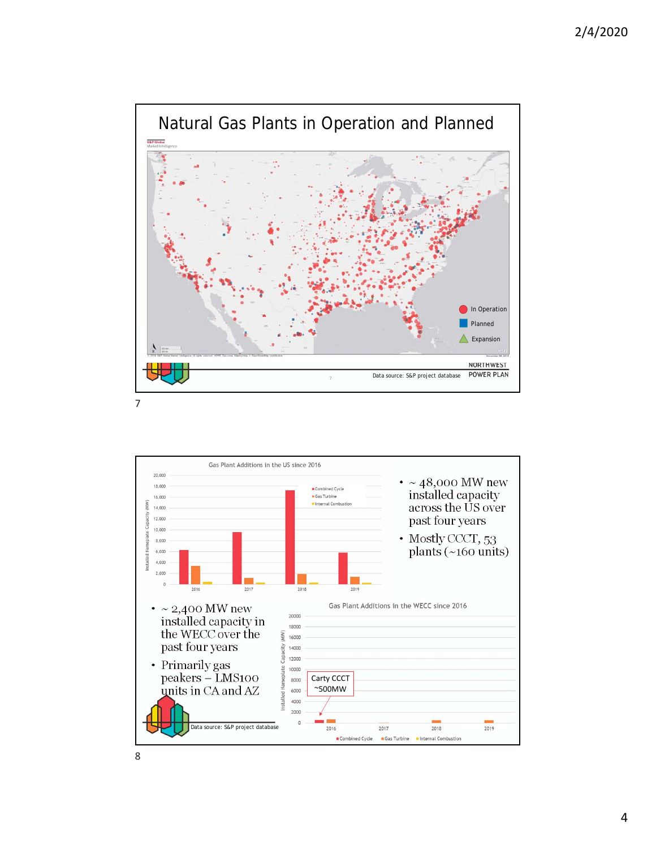

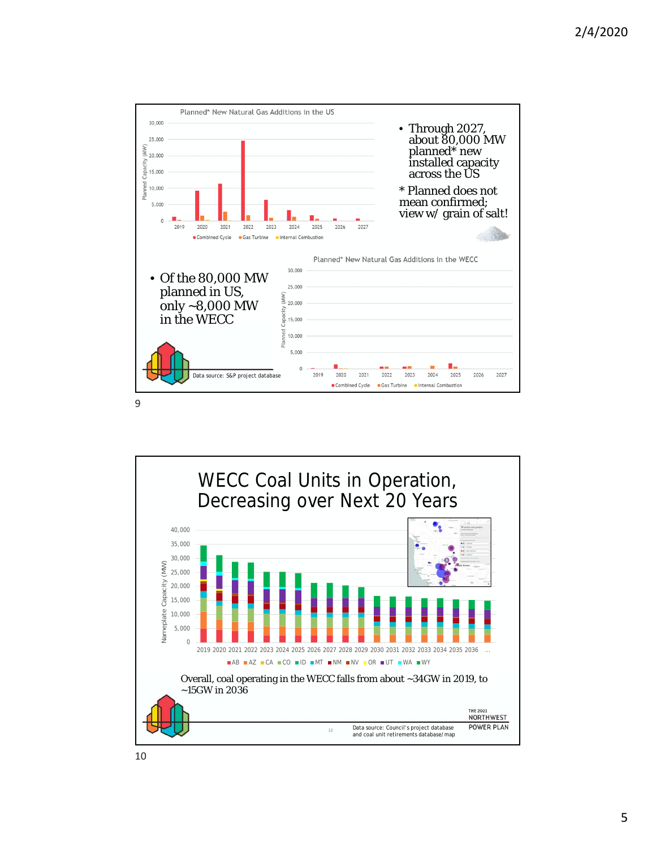

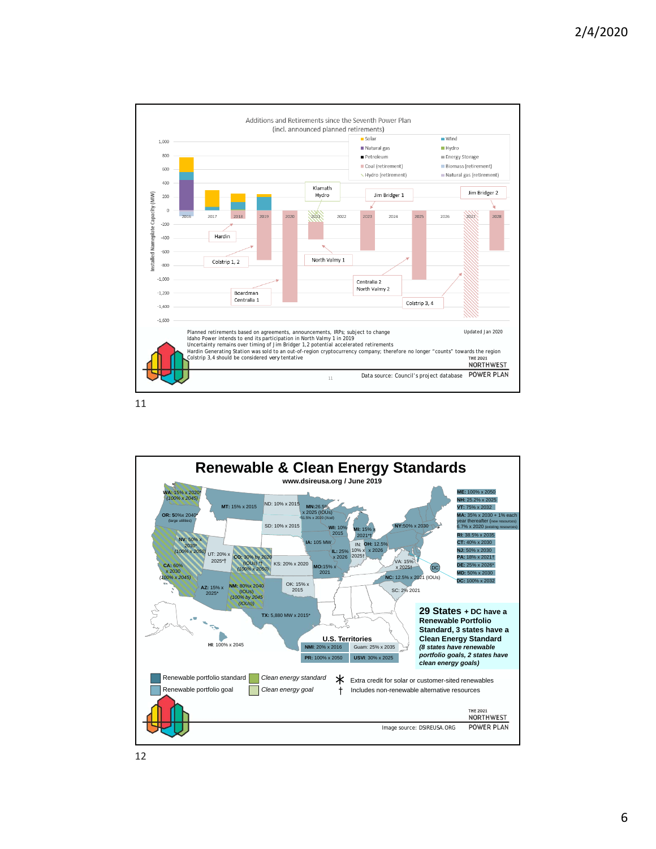

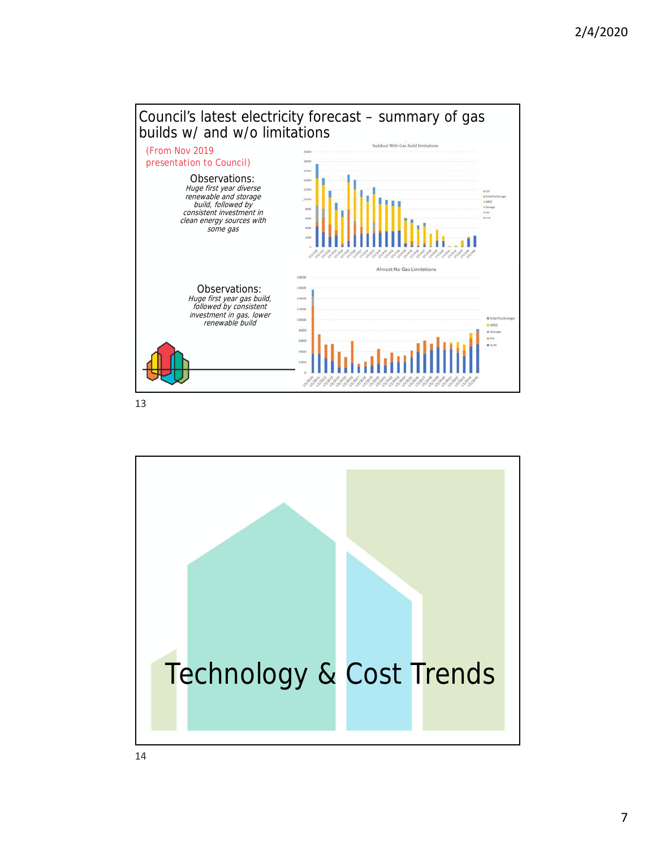



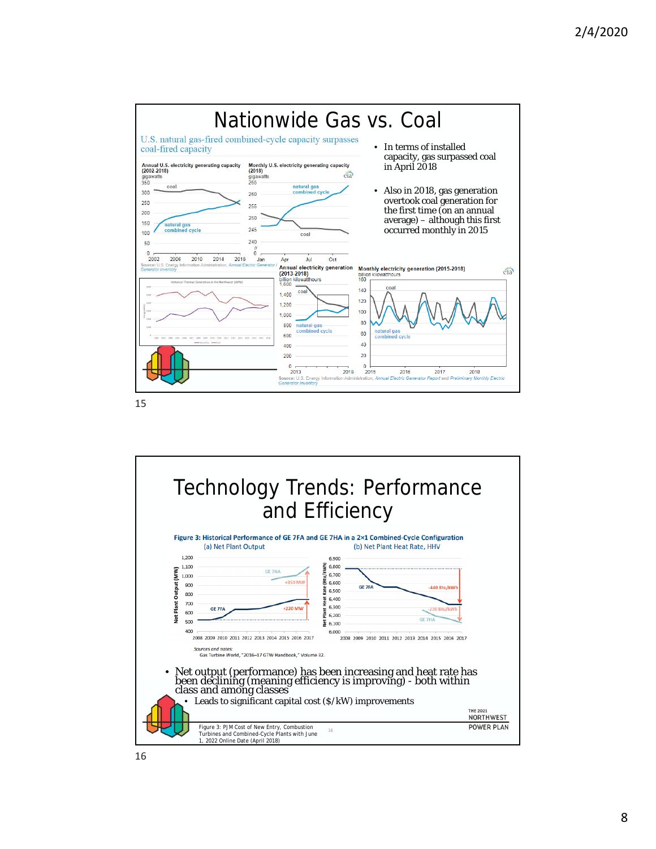

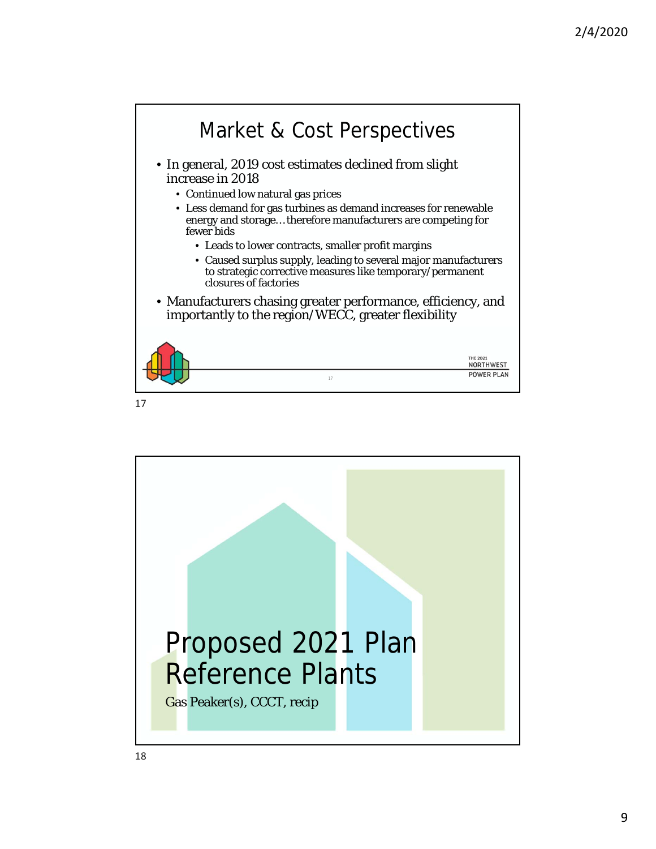

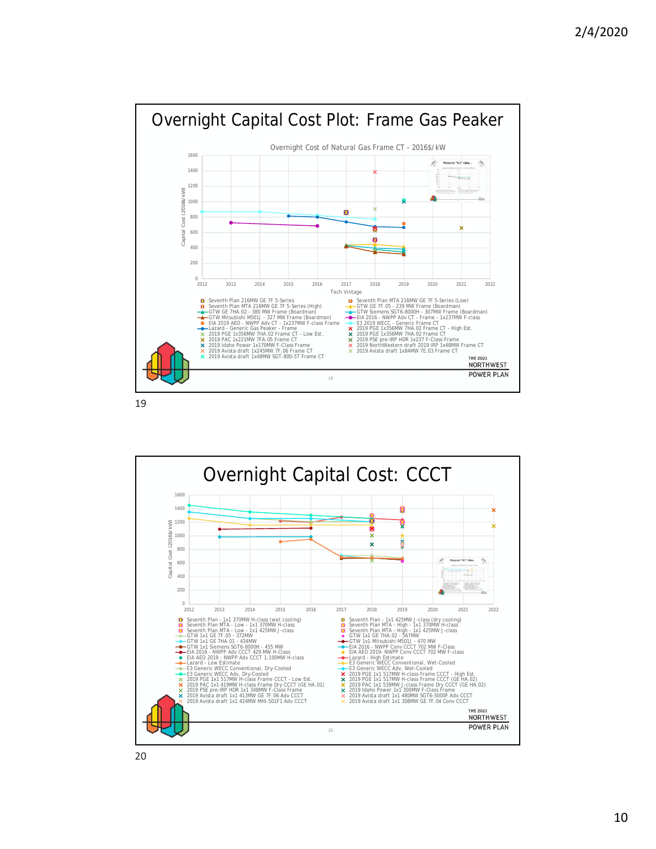

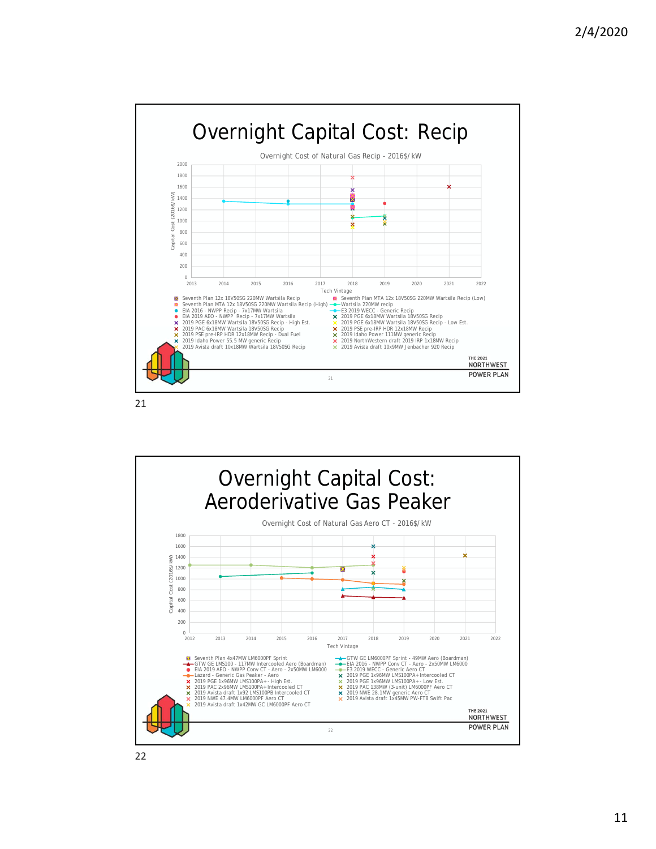

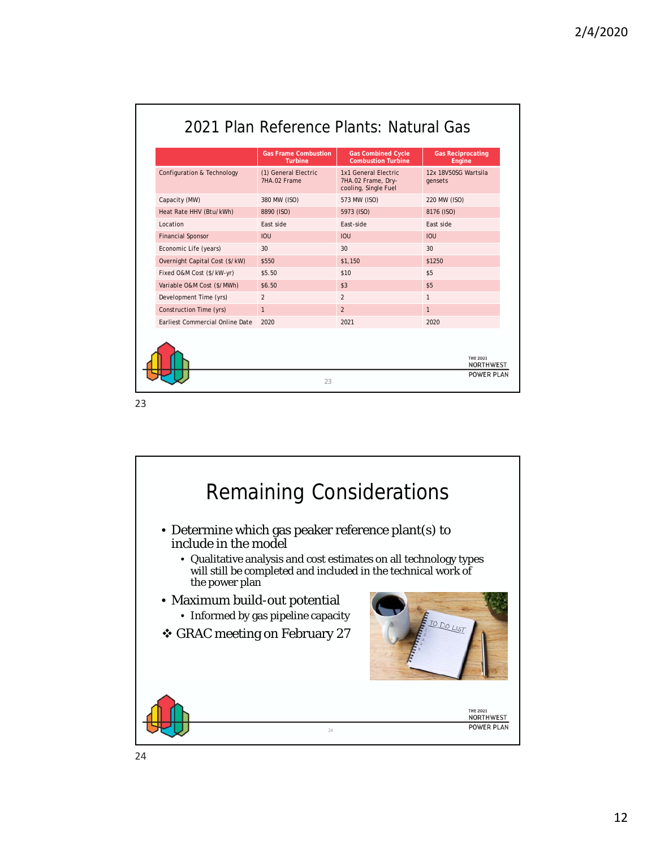|                                        | <b>Turbine</b>                       | <b>Combustion Turbine</b>                                          | <b>Gas Reciprocating</b><br>Engine |
|----------------------------------------|--------------------------------------|--------------------------------------------------------------------|------------------------------------|
| Configuration & Technology             | (1) General Electric<br>7HA.02 Frame | 1x1 General Electric<br>7HA.02 Frame, Dry-<br>cooling, Single Fuel | 12x 18V50SG Wartsila<br>gensets    |
| Capacity (MW)                          | 380 MW (ISO)                         | 573 MW (ISO)                                                       | 220 MW (ISO)                       |
| Heat Rate HHV (Btu/kWh)                | 8890 (ISO)                           | 5973 (ISO)                                                         | 8176 (ISO)                         |
| Location                               | Fast side                            | Fast-side                                                          | Fast side                          |
| <b>Financial Sponsor</b>               | <b>IOU</b>                           | IOU                                                                | <b>IOU</b>                         |
| Economic Life (years)                  | 30                                   | 30                                                                 | 30                                 |
| Overnight Capital Cost (\$/kW)         | \$550                                | \$1,150                                                            | \$1250                             |
| Fixed O&M Cost (\$/kW-yr)              | \$5.50                               | \$10                                                               | \$5                                |
| Variable O&M Cost (\$/MWh)             | \$6.50                               | \$3                                                                | \$5                                |
| Development Time (yrs)                 | $\mathfrak{p}$                       | $\overline{2}$                                                     | $\mathbf{1}$                       |
| Construction Time (yrs)                | $\mathbf{1}$                         | $\overline{2}$                                                     | $\mathbf{1}$                       |
| <b>Farliest Commercial Online Date</b> | 2020                                 | 2021                                                               | 2020                               |

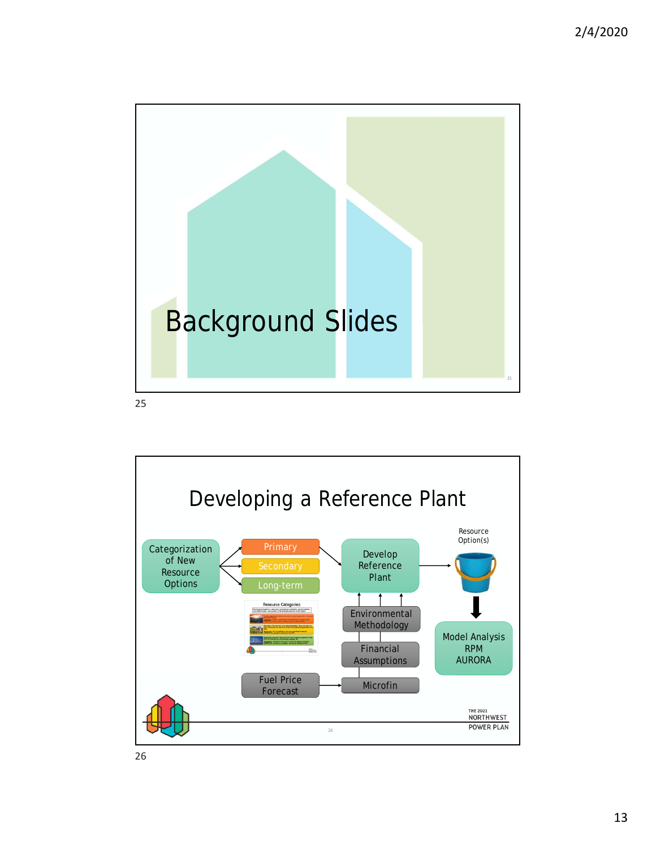

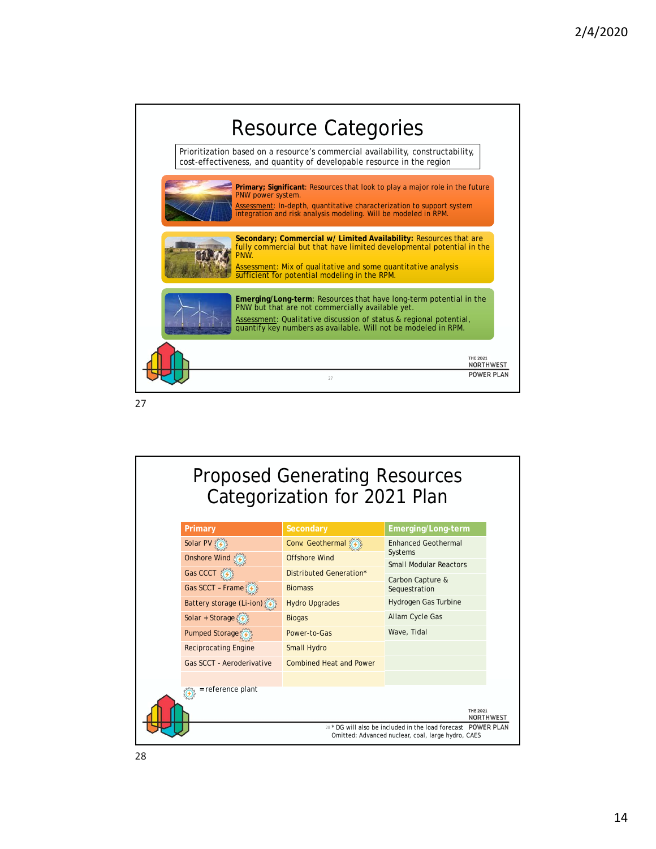

## Proposed Generating Resources Categorization for 2021 Plan **Primary Emerging/Long-term** Solar PV (4) Conv. Geothermal Enhanced Geothermal Systems **Onshore Wind** { <del>⊙</del> Offshore Wind Small Modular Reactors Gas CCCT **Distributed Generation**\* Carbon Capture & Gas SCCT - Frame Biomass Sequestration Battery storage (Li-ion) Hydro Upgrades Hydrogen Gas Turbine Solar + Storage Biogas Allam Cycle Gas Wave, Tidal Pumped Storage (4) Power-to-Gas Reciprocating Engine Small Hydro Gas SCCT - Aeroderivative Combined Heat and Power = reference plant THE 2021<br>NORTHWEST 28 \* DG will also be included in the load forecast Omitted: Advanced nuclear, coal, large hydro, CAES